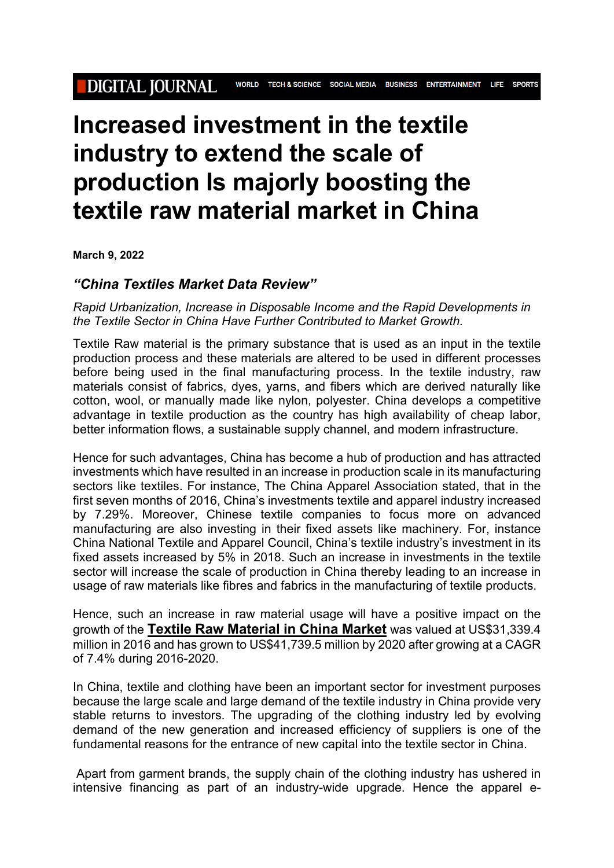## **Increased investment in the textile industry to extend the scale of production Is majorly boosting the textile raw material market in China**

**March 9, 2022**

## *"China Textiles Market Data Review"*

*Rapid Urbanization, Increase in Disposable Income and the Rapid Developments in the Textile Sector in China Have Further Contributed to Market Growth.*

Textile Raw material is the primary substance that is used as an input in the textile production process and these materials are altered to be used in different processes before being used in the final manufacturing process. In the textile industry, raw materials consist of fabrics, dyes, yarns, and fibers which are derived naturally like cotton, wool, or manually made like nylon, polyester. China develops a competitive advantage in textile production as the country has high availability of cheap labor, better information flows, a sustainable supply channel, and modern infrastructure.

Hence for such advantages, China has become a hub of production and has attracted investments which have resulted in an increase in production scale in its manufacturing sectors like textiles. For instance, The China Apparel Association stated, that in the first seven months of 2016, China's investments textile and apparel industry increased by 7.29%. Moreover, Chinese textile companies to focus more on advanced manufacturing are also investing in their fixed assets like machinery. For, instance China National Textile and Apparel Council, China's textile industry's investment in its fixed assets increased by 5% in 2018. Such an increase in investments in the textile sector will increase the scale of production in China thereby leading to an increase in usage of raw materials like fibres and fabrics in the manufacturing of textile products.

Hence, such an increase in raw material usage will have a positive impact on the growth of the **Textile Raw [Material](https://www.industryarc.com/Research/china-textiles-market-data-review-market.html-700018?utm_source=ABNewswire&utm_medium=pressrelease&utm_campaign=Paidpressrelease) in China Market** was valued at US\$31,339.4 million in 2016 and has grown to US\$41,739.5 million by 2020 after growing at a CAGR of 7.4% during 2016-2020.

In China, textile and clothing have been an important sector for investment purposes because the large scale and large demand of the textile industry in China provide very stable returns to investors. The upgrading of the clothing industry led by evolving demand of the new generation and increased efficiency of suppliers is one of the fundamental reasons for the entrance of new capital into the textile sector in China.

Apart from garment brands, the supply chain of the clothing industry has ushered in intensive financing as part of an industry-wide upgrade. Hence the apparel e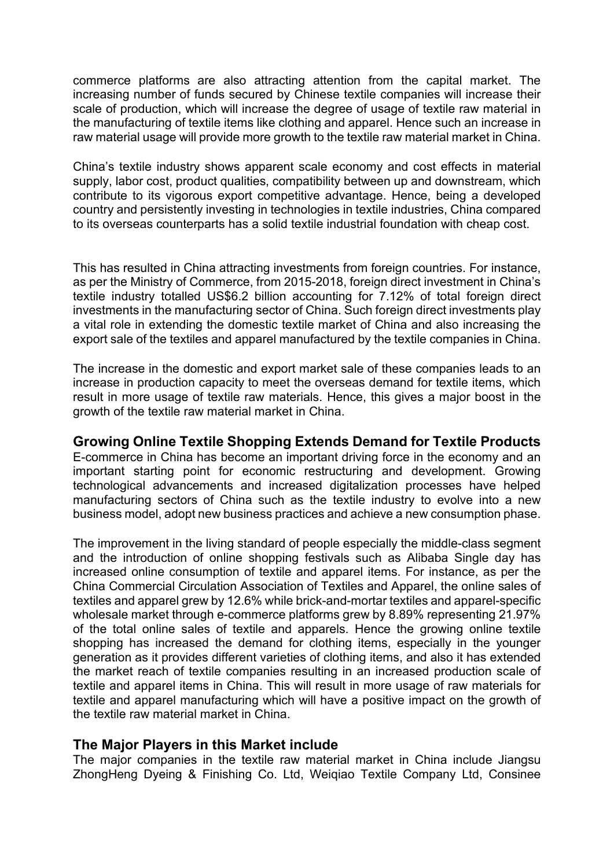commerce platforms are also attracting attention from the capital market. The increasing number of funds secured by Chinese textile companies will increase their scale of production, which will increase the degree of usage of textile raw material in the manufacturing of textile items like clothing and apparel. Hence such an increase in raw material usage will provide more growth to the textile raw material market in China.

China's textile industry shows apparent scale economy and cost effects in material supply, labor cost, product qualities, compatibility between up and downstream, which contribute to its vigorous export competitive advantage. Hence, being a developed country and persistently investing in technologies in textile industries, China compared to its overseas counterparts has a solid textile industrial foundation with cheap cost.

This has resulted in China attracting investments from foreign countries. For instance, as per the Ministry of Commerce, from 2015-2018, foreign direct investment in China's textile industry totalled US\$6.2 billion accounting for 7.12% of total foreign direct investments in the manufacturing sector of China. Such foreign direct investments play a vital role in extending the domestic textile market of China and also increasing the export sale of the textiles and apparel manufactured by the textile companies in China.

The increase in the domestic and export market sale of these companies leads to an increase in production capacity to meet the overseas demand for textile items, which result in more usage of textile raw materials. Hence, this gives a major boost in the growth of the textile raw material market in China.

## **Growing Online Textile Shopping Extends Demand for Textile Products**

E-commerce in China has become an important driving force in the economy and an important starting point for economic restructuring and development. Growing technological advancements and increased digitalization processes have helped manufacturing sectors of China such as the textile industry to evolve into a new business model, adopt new business practices and achieve a new consumption phase.

The improvement in the living standard of people especially the middle-class segment and the introduction of online shopping festivals such as Alibaba Single day has increased online consumption of textile and apparel items. For instance, as per the China Commercial Circulation Association of Textiles and Apparel, the online sales of textiles and apparel grew by 12.6% while brick-and-mortar textiles and apparel-specific wholesale market through e-commerce platforms grew by 8.89% representing 21.97% of the total online sales of textile and apparels. Hence the growing online textile shopping has increased the demand for clothing items, especially in the younger generation as it provides different varieties of clothing items, and also it has extended the market reach of textile companies resulting in an increased production scale of textile and apparel items in China. This will result in more usage of raw materials for textile and apparel manufacturing which will have a positive impact on the growth of the textile raw material market in China.

## **The Major Players in this Market include**

The major companies in the textile raw material market in China include Jiangsu ZhongHeng Dyeing & Finishing Co. Ltd, Weiqiao Textile Company Ltd, Consinee